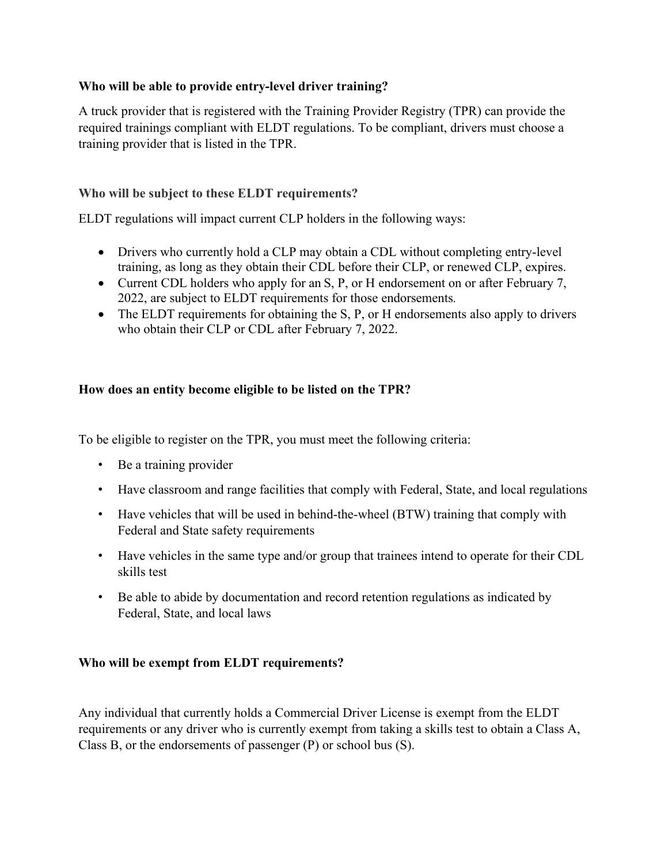## **Who will be able to provide entry-level driver training?**

A truck provider that is registered with the Training Provider Registry (TPR) can provide the required trainings compliant with ELDT regulations. To be compliant, drivers must choose a training provider that is listed in the TPR.

## **Who will be subject to these ELDT requirements?**

ELDT regulations will impact current CLP holders in the following ways:

- Drivers who currently hold a CLP may obtain a CDL without completing entry-level training, as long as they obtain their CDL before their CLP, or renewed CLP, expires.
- Current CDL holders who apply for an S, P, or H endorsement on or after February 7, 2022, are subject to ELDT requirements for those endorsements*.*
- The ELDT requirements for obtaining the S, P, or H endorsements also apply to drivers who obtain their CLP or CDL after February 7, 2022.

## **How does an entity become eligible to be listed on the TPR?**

To be eligible to register on the TPR, you must meet the following criteria:

- Be a training provider
- Have classroom and range facilities that comply with Federal, State, and local regulations
- Have vehicles that will be used in behind-the-wheel (BTW) training that comply with Federal and State safety requirements
- Have vehicles in the same type and/or group that trainees intend to operate for their CDL skills test
- Be able to abide by documentation and record retention regulations as indicated by Federal, State, and local laws

#### **Who will be exempt from ELDT requirements?**

Any individual that currently holds a Commercial Driver License is exempt from the ELDT requirements or any driver who is currently exempt from taking a skills test to obtain a Class A, Class B, or the endorsements of passenger (P) or school bus (S).